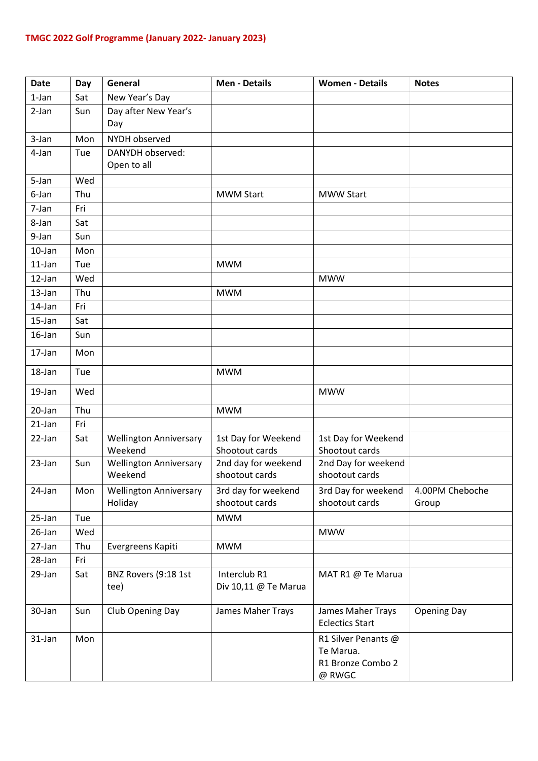| <b>Date</b> | Day | General                                  | <b>Men - Details</b>                  | <b>Women - Details</b>                                          | <b>Notes</b>             |
|-------------|-----|------------------------------------------|---------------------------------------|-----------------------------------------------------------------|--------------------------|
| 1-Jan       | Sat | New Year's Day                           |                                       |                                                                 |                          |
| 2-Jan       | Sun | Day after New Year's<br>Day              |                                       |                                                                 |                          |
| 3-Jan       | Mon | NYDH observed                            |                                       |                                                                 |                          |
| 4-Jan       | Tue | DANYDH observed:<br>Open to all          |                                       |                                                                 |                          |
| 5-Jan       | Wed |                                          |                                       |                                                                 |                          |
| 6-Jan       | Thu |                                          | <b>MWM Start</b>                      | <b>MWW Start</b>                                                |                          |
| 7-Jan       | Fri |                                          |                                       |                                                                 |                          |
| 8-Jan       | Sat |                                          |                                       |                                                                 |                          |
| 9-Jan       | Sun |                                          |                                       |                                                                 |                          |
| 10-Jan      | Mon |                                          |                                       |                                                                 |                          |
| $11$ -Jan   | Tue |                                          | <b>MWM</b>                            |                                                                 |                          |
| 12-Jan      | Wed |                                          |                                       | <b>MWW</b>                                                      |                          |
| 13-Jan      | Thu |                                          | <b>MWM</b>                            |                                                                 |                          |
| 14-Jan      | Fri |                                          |                                       |                                                                 |                          |
| 15-Jan      | Sat |                                          |                                       |                                                                 |                          |
| 16-Jan      | Sun |                                          |                                       |                                                                 |                          |
| 17-Jan      | Mon |                                          |                                       |                                                                 |                          |
| 18-Jan      | Tue |                                          | <b>MWM</b>                            |                                                                 |                          |
| 19-Jan      | Wed |                                          |                                       | <b>MWW</b>                                                      |                          |
| 20-Jan      | Thu |                                          | <b>MWM</b>                            |                                                                 |                          |
| $21$ -Jan   | Fri |                                          |                                       |                                                                 |                          |
| 22-Jan      | Sat | <b>Wellington Anniversary</b><br>Weekend | 1st Day for Weekend<br>Shootout cards | 1st Day for Weekend<br>Shootout cards                           |                          |
| 23-Jan      | Sun | <b>Wellington Anniversary</b><br>Weekend | 2nd day for weekend<br>shootout cards | 2nd Day for weekend<br>shootout cards                           |                          |
| 24-Jan      | Mon | <b>Wellington Anniversary</b><br>Holiday | 3rd day for weekend<br>shootout cards | 3rd Day for weekend<br>shootout cards                           | 4.00PM Cheboche<br>Group |
| 25-Jan      | Tue |                                          | <b>MWM</b>                            |                                                                 |                          |
| 26-Jan      | Wed |                                          |                                       | <b>MWW</b>                                                      |                          |
| 27-Jan      | Thu | Evergreens Kapiti                        | <b>MWM</b>                            |                                                                 |                          |
| 28-Jan      | Fri |                                          |                                       |                                                                 |                          |
| 29-Jan      | Sat | BNZ Rovers (9:18 1st<br>tee)             | Interclub R1<br>Div 10,11 @ Te Marua  | MAT R1 @ Te Marua                                               |                          |
| 30-Jan      | Sun | Club Opening Day                         | James Maher Trays                     | James Maher Trays<br><b>Eclectics Start</b>                     | <b>Opening Day</b>       |
| 31-Jan      | Mon |                                          |                                       | R1 Silver Penants @<br>Te Marua.<br>R1 Bronze Combo 2<br>@ RWGC |                          |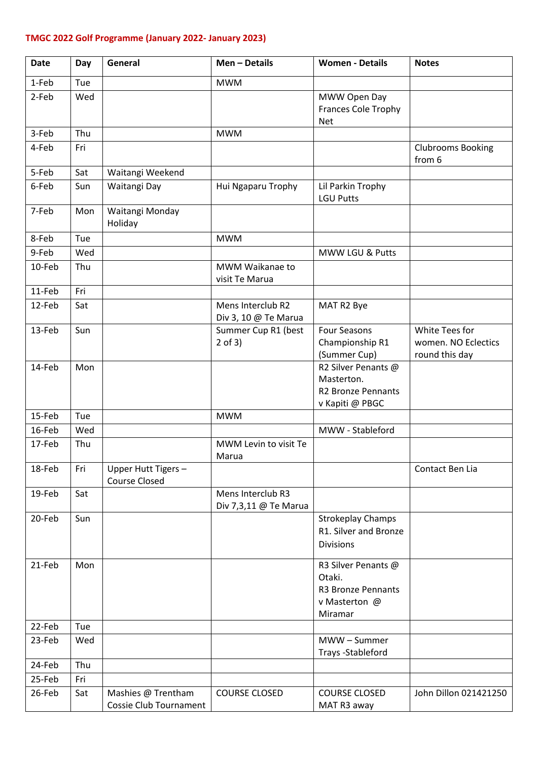| <b>Date</b> | Day | General                                      | Men - Details         | <b>Women - Details</b>              | <b>Notes</b>             |
|-------------|-----|----------------------------------------------|-----------------------|-------------------------------------|--------------------------|
| 1-Feb       | Tue |                                              | <b>MWM</b>            |                                     |                          |
| 2-Feb       | Wed |                                              |                       | MWW Open Day                        |                          |
|             |     |                                              |                       | Frances Cole Trophy                 |                          |
|             |     |                                              |                       | <b>Net</b>                          |                          |
| 3-Feb       | Thu |                                              | <b>MWM</b>            |                                     |                          |
| 4-Feb       | Fri |                                              |                       |                                     | <b>Clubrooms Booking</b> |
|             |     |                                              |                       |                                     | from 6                   |
| 5-Feb       | Sat | Waitangi Weekend                             |                       |                                     |                          |
| 6-Feb       | Sun | Waitangi Day                                 | Hui Ngaparu Trophy    | Lil Parkin Trophy                   |                          |
|             |     |                                              |                       | <b>LGU Putts</b>                    |                          |
| 7-Feb       | Mon | Waitangi Monday                              |                       |                                     |                          |
|             |     | Holiday                                      |                       |                                     |                          |
| 8-Feb       | Tue |                                              | <b>MWM</b>            |                                     |                          |
| 9-Feb       | Wed |                                              |                       | MWW LGU & Putts                     |                          |
| 10-Feb      | Thu |                                              | MWM Waikanae to       |                                     |                          |
|             |     |                                              | visit Te Marua        |                                     |                          |
| 11-Feb      | Fri |                                              |                       |                                     |                          |
| 12-Feb      | Sat |                                              | Mens Interclub R2     | MAT R2 Bye                          |                          |
|             |     |                                              | Div 3, 10 @ Te Marua  |                                     |                          |
| 13-Feb      | Sun |                                              | Summer Cup R1 (best   | <b>Four Seasons</b>                 | White Tees for           |
|             |     |                                              | $2$ of $3)$           | Championship R1                     | women. NO Eclectics      |
|             |     |                                              |                       | (Summer Cup)                        | round this day           |
| 14-Feb      | Mon |                                              |                       | R2 Silver Penants @                 |                          |
|             |     |                                              |                       | Masterton.                          |                          |
|             |     |                                              |                       | <b>R2 Bronze Pennants</b>           |                          |
|             |     |                                              |                       | v Kapiti @ PBGC                     |                          |
| 15-Feb      | Tue |                                              | <b>MWM</b>            |                                     |                          |
| 16-Feb      | Wed |                                              |                       | MWW - Stableford                    |                          |
| 17-Feb      | Thu |                                              | MWM Levin to visit Te |                                     |                          |
|             |     |                                              | Marua                 |                                     |                          |
| 18-Feb      | Fri | Upper Hutt Tigers -<br><b>Course Closed</b>  |                       |                                     | Contact Ben Lia          |
| 19-Feb      | Sat |                                              | Mens Interclub R3     |                                     |                          |
|             |     |                                              | Div 7,3,11 @ Te Marua |                                     |                          |
| 20-Feb      | Sun |                                              |                       | <b>Strokeplay Champs</b>            |                          |
|             |     |                                              |                       | R1. Silver and Bronze               |                          |
|             |     |                                              |                       | <b>Divisions</b>                    |                          |
|             |     |                                              |                       |                                     |                          |
| 21-Feb      | Mon |                                              |                       | R3 Silver Penants @                 |                          |
|             |     |                                              |                       | Otaki.                              |                          |
|             |     |                                              |                       | <b>R3 Bronze Pennants</b>           |                          |
|             |     |                                              |                       | v Masterton @                       |                          |
|             |     |                                              |                       | Miramar                             |                          |
| 22-Feb      | Tue |                                              |                       |                                     |                          |
| 23-Feb      | Wed |                                              |                       | MWW-Summer                          |                          |
| 24-Feb      | Thu |                                              |                       | Trays - Stableford                  |                          |
| 25-Feb      | Fri |                                              |                       |                                     |                          |
|             |     |                                              |                       |                                     |                          |
| 26-Feb      | Sat | Mashies @ Trentham<br>Cossie Club Tournament | <b>COURSE CLOSED</b>  | <b>COURSE CLOSED</b><br>MAT R3 away | John Dillon 021421250    |
|             |     |                                              |                       |                                     |                          |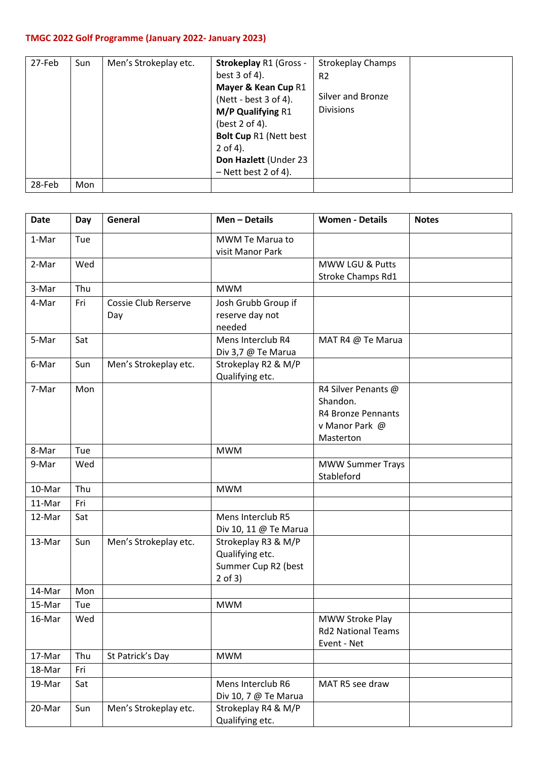| 27-Feb | Sun | Men's Strokeplay etc. | Strokeplay R1 (Gross - | <b>Strokeplay Champs</b> |  |
|--------|-----|-----------------------|------------------------|--------------------------|--|
|        |     |                       | best $3$ of $4$ ).     | R <sub>2</sub>           |  |
|        |     |                       | Mayer & Kean Cup R1    |                          |  |
|        |     |                       | (Nett - best 3 of 4).  | Silver and Bronze        |  |
|        |     |                       | M/P Qualifying R1      | <b>Divisions</b>         |  |
|        |     |                       | (best 2 of 4).         |                          |  |
|        |     |                       | Bolt Cup R1 (Nett best |                          |  |
|        |     |                       | $2$ of 4).             |                          |  |
|        |     |                       | Don Hazlett (Under 23  |                          |  |
|        |     |                       | $-$ Nett best 2 of 4). |                          |  |
| 28-Feb | Mon |                       |                        |                          |  |

| <b>Date</b> | Day | General               | Men - Details         | <b>Women - Details</b>          | <b>Notes</b> |
|-------------|-----|-----------------------|-----------------------|---------------------------------|--------------|
| 1-Mar       | Tue |                       | MWM Te Marua to       |                                 |              |
|             |     |                       | visit Manor Park      |                                 |              |
| 2-Mar       | Wed |                       |                       | MWW LGU & Putts                 |              |
|             |     |                       |                       | Stroke Champs Rd1               |              |
| 3-Mar       | Thu |                       | <b>MWM</b>            |                                 |              |
| 4-Mar       | Fri | Cossie Club Rerserve  | Josh Grubb Group if   |                                 |              |
|             |     | Day                   | reserve day not       |                                 |              |
|             |     |                       | needed                |                                 |              |
| 5-Mar       | Sat |                       | Mens Interclub R4     | MAT R4 @ Te Marua               |              |
|             |     |                       | Div 3,7 @ Te Marua    |                                 |              |
| 6-Mar       | Sun | Men's Strokeplay etc. | Strokeplay R2 & M/P   |                                 |              |
| 7-Mar       |     |                       | Qualifying etc.       |                                 |              |
|             | Mon |                       |                       | R4 Silver Penants @<br>Shandon. |              |
|             |     |                       |                       | R4 Bronze Pennants              |              |
|             |     |                       |                       | v Manor Park @                  |              |
|             |     |                       |                       | Masterton                       |              |
| 8-Mar       | Tue |                       | <b>MWM</b>            |                                 |              |
| 9-Mar       | Wed |                       |                       | <b>MWW Summer Trays</b>         |              |
|             |     |                       |                       | Stableford                      |              |
| 10-Mar      | Thu |                       | <b>MWM</b>            |                                 |              |
| 11-Mar      | Fri |                       |                       |                                 |              |
| 12-Mar      | Sat |                       | Mens Interclub R5     |                                 |              |
|             |     |                       | Div 10, 11 @ Te Marua |                                 |              |
| 13-Mar      | Sun | Men's Strokeplay etc. | Strokeplay R3 & M/P   |                                 |              |
|             |     |                       | Qualifying etc.       |                                 |              |
|             |     |                       | Summer Cup R2 (best   |                                 |              |
|             |     |                       | $2$ of $3)$           |                                 |              |
| 14-Mar      | Mon |                       |                       |                                 |              |
| 15-Mar      | Tue |                       | <b>MWM</b>            |                                 |              |
| 16-Mar      | Wed |                       |                       | MWW Stroke Play                 |              |
|             |     |                       |                       | <b>Rd2 National Teams</b>       |              |
| 17-Mar      | Thu | St Patrick's Day      | <b>MWM</b>            | Event - Net                     |              |
|             |     |                       |                       |                                 |              |
| 18-Mar      | Fri |                       |                       |                                 |              |
| 19-Mar      | Sat |                       | Mens Interclub R6     | MAT R5 see draw                 |              |
|             |     |                       | Div 10, 7 @ Te Marua  |                                 |              |
| 20-Mar      | Sun | Men's Strokeplay etc. | Strokeplay R4 & M/P   |                                 |              |
|             |     |                       | Qualifying etc.       |                                 |              |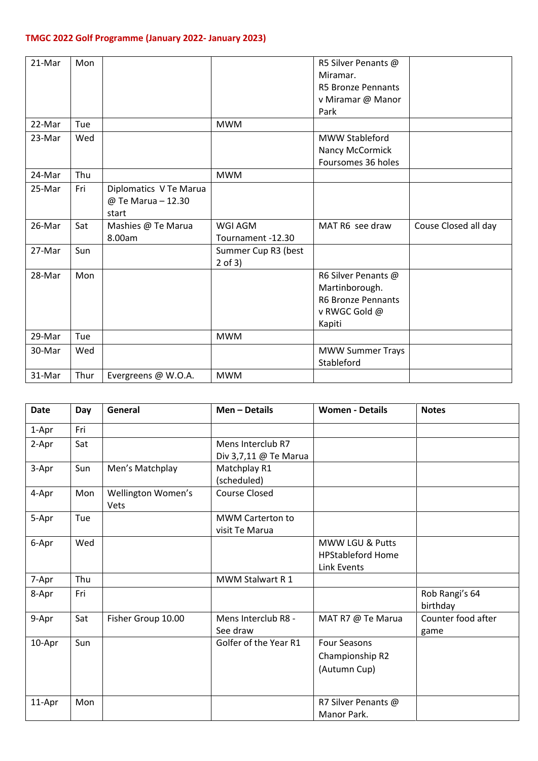| 21-Mar | Mon |                        |                     | R5 Silver Penants @       |                      |
|--------|-----|------------------------|---------------------|---------------------------|----------------------|
|        |     |                        |                     | Miramar.                  |                      |
|        |     |                        |                     | <b>R5 Bronze Pennants</b> |                      |
|        |     |                        |                     | v Miramar @ Manor         |                      |
|        |     |                        |                     | Park                      |                      |
| 22-Mar | Tue |                        | <b>MWM</b>          |                           |                      |
| 23-Mar | Wed |                        |                     | MWW Stableford            |                      |
|        |     |                        |                     | Nancy McCormick           |                      |
|        |     |                        |                     | Foursomes 36 holes        |                      |
| 24-Mar | Thu |                        | <b>MWM</b>          |                           |                      |
| 25-Mar | Fri | Diplomatics V Te Marua |                     |                           |                      |
|        |     | @ Te Marua - 12.30     |                     |                           |                      |
|        |     | start                  |                     |                           |                      |
|        |     |                        |                     |                           |                      |
| 26-Mar | Sat | Mashies @ Te Marua     | WGI AGM             | MAT R6 see draw           | Couse Closed all day |
|        |     | 8.00am                 | Tournament -12.30   |                           |                      |
| 27-Mar | Sun |                        | Summer Cup R3 (best |                           |                      |
|        |     |                        | $2$ of $3)$         |                           |                      |
| 28-Mar | Mon |                        |                     | R6 Silver Penants @       |                      |
|        |     |                        |                     | Martinborough.            |                      |
|        |     |                        |                     | <b>R6 Bronze Pennants</b> |                      |
|        |     |                        |                     | v RWGC Gold @             |                      |
|        |     |                        |                     | Kapiti                    |                      |
| 29-Mar | Tue |                        | <b>MWM</b>          |                           |                      |
| 30-Mar | Wed |                        |                     | <b>MWW Summer Trays</b>   |                      |
|        |     |                        |                     | Stableford                |                      |

| <b>Date</b> | Day | General                    | Men - Details                              | <b>Women - Details</b>                                     | <b>Notes</b>               |
|-------------|-----|----------------------------|--------------------------------------------|------------------------------------------------------------|----------------------------|
| 1-Apr       | Fri |                            |                                            |                                                            |                            |
| 2-Apr       | Sat |                            | Mens Interclub R7<br>Div 3,7,11 @ Te Marua |                                                            |                            |
| 3-Apr       | Sun | Men's Matchplay            | Matchplay R1<br>(scheduled)                |                                                            |                            |
| 4-Apr       | Mon | Wellington Women's<br>Vets | Course Closed                              |                                                            |                            |
| 5-Apr       | Tue |                            | MWM Carterton to<br>visit Te Marua         |                                                            |                            |
| 6-Apr       | Wed |                            |                                            | MWW LGU & Putts<br><b>HPStableford Home</b><br>Link Events |                            |
| 7-Apr       | Thu |                            | MWM Stalwart R 1                           |                                                            |                            |
| 8-Apr       | Fri |                            |                                            |                                                            | Rob Rangi's 64<br>birthday |
| 9-Apr       | Sat | Fisher Group 10.00         | Mens Interclub R8 -<br>See draw            | MAT R7 @ Te Marua                                          | Counter food after<br>game |
| 10-Apr      | Sun |                            | Golfer of the Year R1                      | <b>Four Seasons</b><br>Championship R2<br>(Autumn Cup)     |                            |
| 11-Apr      | Mon |                            |                                            | R7 Silver Penants @<br>Manor Park.                         |                            |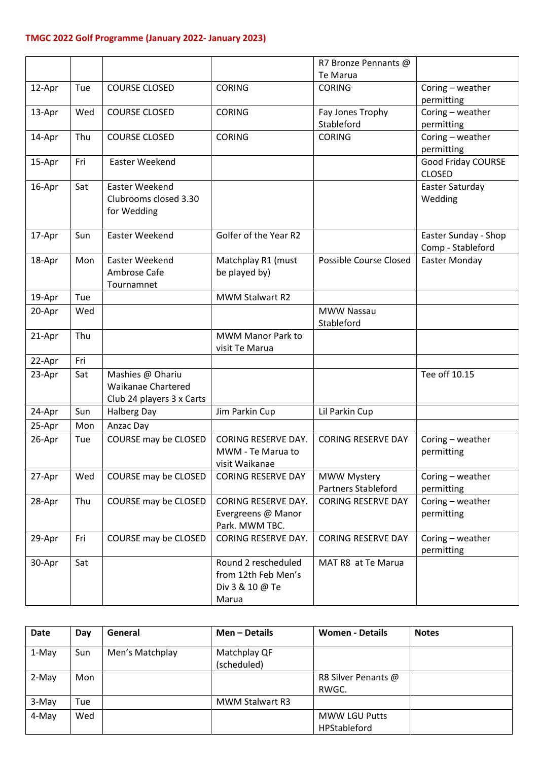|        |     |                                                 |                           | R7 Bronze Pennants @       |                                            |
|--------|-----|-------------------------------------------------|---------------------------|----------------------------|--------------------------------------------|
|        |     |                                                 |                           | Te Marua                   |                                            |
| 12-Apr | Tue | <b>COURSE CLOSED</b>                            | <b>CORING</b>             | <b>CORING</b>              | Coring - weather                           |
|        |     |                                                 |                           |                            | permitting                                 |
| 13-Apr | Wed | <b>COURSE CLOSED</b>                            | <b>CORING</b>             | Fay Jones Trophy           | Coring - weather                           |
|        |     |                                                 |                           | Stableford                 | permitting                                 |
| 14-Apr | Thu | <b>COURSE CLOSED</b>                            | <b>CORING</b>             | <b>CORING</b>              | Coring - weather                           |
|        |     |                                                 |                           |                            | permitting                                 |
| 15-Apr | Fri | Easter Weekend                                  |                           |                            | <b>Good Friday COURSE</b><br><b>CLOSED</b> |
| 16-Apr | Sat | Easter Weekend                                  |                           |                            | Easter Saturday                            |
|        |     | Clubrooms closed 3.30                           |                           |                            | Wedding                                    |
|        |     | for Wedding                                     |                           |                            |                                            |
| 17-Apr | Sun | Easter Weekend                                  | Golfer of the Year R2     |                            | Easter Sunday - Shop                       |
|        |     |                                                 |                           |                            | Comp - Stableford                          |
| 18-Apr | Mon | Easter Weekend                                  | Matchplay R1 (must        | Possible Course Closed     | Easter Monday                              |
|        |     | Ambrose Cafe                                    | be played by)             |                            |                                            |
|        |     | Tournamnet                                      |                           |                            |                                            |
| 19-Apr | Tue |                                                 | <b>MWM Stalwart R2</b>    |                            |                                            |
| 20-Apr | Wed |                                                 |                           | <b>MWW Nassau</b>          |                                            |
|        |     |                                                 |                           | Stableford                 |                                            |
| 21-Apr | Thu |                                                 | MWM Manor Park to         |                            |                                            |
|        |     |                                                 | visit Te Marua            |                            |                                            |
| 22-Apr | Fri |                                                 |                           |                            |                                            |
| 23-Apr | Sat | Mashies @ Ohariu                                |                           |                            | Tee off 10.15                              |
|        |     | <b>Waikanae Chartered</b>                       |                           |                            |                                            |
| 24-Apr | Sun | Club 24 players 3 x Carts<br><b>Halberg Day</b> | Jim Parkin Cup            | Lil Parkin Cup             |                                            |
| 25-Apr | Mon | Anzac Day                                       |                           |                            |                                            |
| 26-Apr | Tue | COURSE may be CLOSED                            | CORING RESERVE DAY.       | <b>CORING RESERVE DAY</b>  | Coring - weather                           |
|        |     |                                                 | MWM - Te Marua to         |                            | permitting                                 |
|        |     |                                                 | visit Waikanae            |                            |                                            |
| 27-Apr | Wed | COURSE may be CLOSED                            | <b>CORING RESERVE DAY</b> | <b>MWW Mystery</b>         | Coring - weather                           |
|        |     |                                                 |                           | <b>Partners Stableford</b> | permitting                                 |
| 28-Apr | Thu | COURSE may be CLOSED                            | CORING RESERVE DAY.       | <b>CORING RESERVE DAY</b>  | Coring - weather                           |
|        |     |                                                 | Evergreens @ Manor        |                            | permitting                                 |
|        |     |                                                 | Park. MWM TBC.            |                            |                                            |
| 29-Apr | Fri | COURSE may be CLOSED                            | CORING RESERVE DAY.       | <b>CORING RESERVE DAY</b>  | Coring - weather                           |
|        |     |                                                 |                           |                            | permitting                                 |
| 30-Apr | Sat |                                                 | Round 2 rescheduled       | MAT R8 at Te Marua         |                                            |
|        |     |                                                 | from 12th Feb Men's       |                            |                                            |
|        |     |                                                 | Div 3 & 10 @ Te           |                            |                                            |
|        |     |                                                 | Marua                     |                            |                                            |

| Date  | Day | General         | Men - Details               | <b>Women - Details</b>               | <b>Notes</b> |
|-------|-----|-----------------|-----------------------------|--------------------------------------|--------------|
| 1-May | Sun | Men's Matchplay | Matchplay QF<br>(scheduled) |                                      |              |
| 2-May | Mon |                 |                             | R8 Silver Penants @<br>RWGC.         |              |
| 3-May | Tue |                 | <b>MWM Stalwart R3</b>      |                                      |              |
| 4-May | Wed |                 |                             | <b>MWW LGU Putts</b><br>HPStableford |              |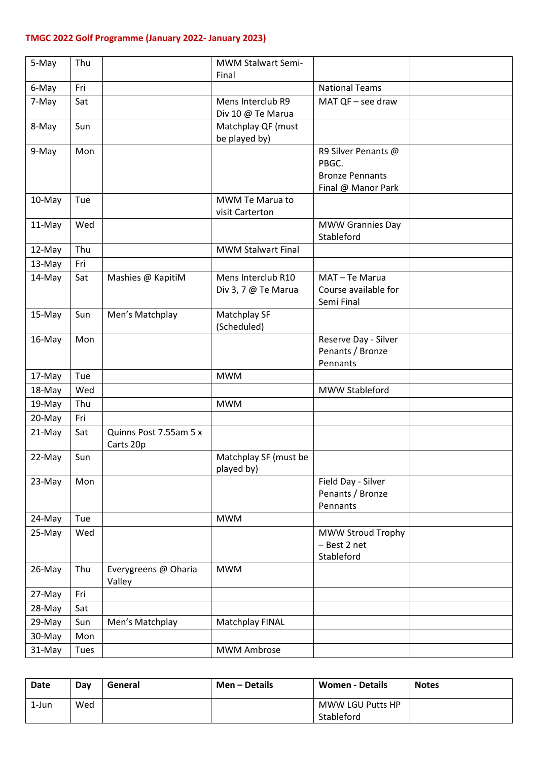| 5-May            | Thu        |                        | <b>MWM Stalwart Semi-</b> |                              |  |
|------------------|------------|------------------------|---------------------------|------------------------------|--|
| 6-May            | Fri        |                        | Final                     | <b>National Teams</b>        |  |
| 7-May            | Sat        |                        | Mens Interclub R9         | MAT $QF$ – see draw          |  |
|                  |            |                        | Div 10 @ Te Marua         |                              |  |
| 8-May            | Sun        |                        | Matchplay QF (must        |                              |  |
|                  |            |                        | be played by)             |                              |  |
| 9-May            | Mon        |                        |                           | R9 Silver Penants @          |  |
|                  |            |                        |                           | PBGC.                        |  |
|                  |            |                        |                           | <b>Bronze Pennants</b>       |  |
|                  |            |                        |                           | Final @ Manor Park           |  |
| 10-May           | Tue        |                        | MWM Te Marua to           |                              |  |
| 11-May           | Wed        |                        | visit Carterton           | <b>MWW Grannies Day</b>      |  |
|                  |            |                        |                           | Stableford                   |  |
| 12-May           | Thu        |                        | <b>MWM Stalwart Final</b> |                              |  |
| 13-May           | Fri        |                        |                           |                              |  |
| 14-May           | Sat        | Mashies @ KapitiM      | Mens Interclub R10        | MAT-Te Marua                 |  |
|                  |            |                        | Div 3, 7 @ Te Marua       | Course available for         |  |
|                  |            |                        |                           | Semi Final                   |  |
| 15-May           | Sun        | Men's Matchplay        | Matchplay SF              |                              |  |
|                  |            |                        | (Scheduled)               |                              |  |
| 16-May           | Mon        |                        |                           | Reserve Day - Silver         |  |
|                  |            |                        |                           | Penants / Bronze<br>Pennants |  |
| 17-May           | Tue        |                        | <b>MWM</b>                |                              |  |
| 18-May           | Wed        |                        |                           | MWW Stableford               |  |
| 19-May           | Thu        |                        | <b>MWM</b>                |                              |  |
| 20-May           | Fri        |                        |                           |                              |  |
| 21-May           | Sat        | Quinns Post 7.55am 5 x |                           |                              |  |
|                  |            | Carts 20p              |                           |                              |  |
| 22-May           | Sun        |                        | Matchplay SF (must be     |                              |  |
|                  |            |                        | played by)                |                              |  |
| 23-May           | Mon        |                        |                           | Field Day - Silver           |  |
|                  |            |                        |                           | Penants / Bronze             |  |
|                  |            |                        | <b>MWM</b>                | Pennants                     |  |
| 24-May<br>25-May | Tue<br>Wed |                        |                           | MWW Stroud Trophy            |  |
|                  |            |                        |                           | - Best 2 net                 |  |
|                  |            |                        |                           | Stableford                   |  |
| 26-May           | Thu        | Everygreens @ Oharia   | <b>MWM</b>                |                              |  |
|                  |            | Valley                 |                           |                              |  |
| 27-May           | Fri        |                        |                           |                              |  |
| 28-May           | Sat        |                        |                           |                              |  |
| 29-May           | Sun        | Men's Matchplay        | Matchplay FINAL           |                              |  |
| 30-May           | Mon        |                        |                           |                              |  |
| 31-May           | Tues       |                        | MWM Ambrose               |                              |  |
|                  |            |                        |                           |                              |  |

| <b>Date</b> | Dav | General | Men – Details | Women - Details  | <b>Notes</b> |
|-------------|-----|---------|---------------|------------------|--------------|
| 1-Jun       | Wed |         |               | MWW LGU Putts HP |              |
|             |     |         |               | Stableford       |              |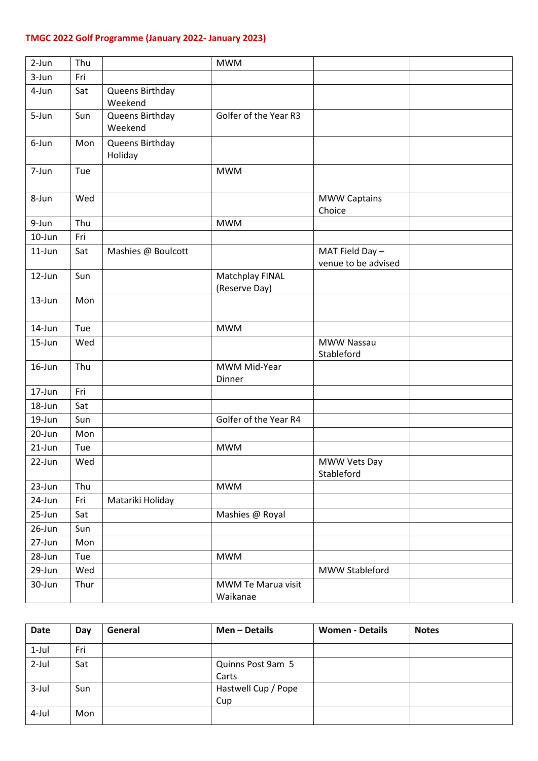| 2-Jun     | Thu  |                            | <b>MWM</b>                       |                                        |  |
|-----------|------|----------------------------|----------------------------------|----------------------------------------|--|
| 3-Jun     | Fri  |                            |                                  |                                        |  |
| 4-Jun     | Sat  | Queens Birthday<br>Weekend |                                  |                                        |  |
| 5-Jun     | Sun  | Queens Birthday<br>Weekend | Golfer of the Year R3            |                                        |  |
| 6-Jun     | Mon  | Queens Birthday<br>Holiday |                                  |                                        |  |
| 7-Jun     | Tue  |                            | <b>MWM</b>                       |                                        |  |
| 8-Jun     | Wed  |                            |                                  | <b>MWW Captains</b><br>Choice          |  |
| 9-Jun     | Thu  |                            | <b>MWM</b>                       |                                        |  |
| 10-Jun    | Fri  |                            |                                  |                                        |  |
| $11$ -Jun | Sat  | Mashies @ Boulcott         |                                  | MAT Field Day -<br>venue to be advised |  |
| 12-Jun    | Sun  |                            | Matchplay FINAL<br>(Reserve Day) |                                        |  |
| 13-Jun    | Mon  |                            |                                  |                                        |  |
| 14-Jun    | Tue  |                            | <b>MWM</b>                       |                                        |  |
| 15-Jun    | Wed  |                            |                                  | MWW Nassau<br>Stableford               |  |
| $16$ -Jun | Thu  |                            | MWM Mid-Year<br>Dinner           |                                        |  |
| 17-Jun    | Fri  |                            |                                  |                                        |  |
| 18-Jun    | Sat  |                            |                                  |                                        |  |
| 19-Jun    | Sun  |                            | Golfer of the Year R4            |                                        |  |
| 20-Jun    | Mon  |                            |                                  |                                        |  |
| 21-Jun    | Tue  |                            | <b>MWM</b>                       |                                        |  |
| 22-Jun    | Wed  |                            |                                  | MWW Vets Day<br>Stableford             |  |
| 23-Jun    | Thu  |                            | <b>MWM</b>                       |                                        |  |
| 24-Jun    | Fri  | Matariki Holiday           |                                  |                                        |  |
| 25-Jun    | Sat  |                            | Mashies @ Royal                  |                                        |  |
| 26-Jun    | Sun  |                            |                                  |                                        |  |
| 27-Jun    | Mon  |                            |                                  |                                        |  |
| 28-Jun    | Tue  |                            | <b>MWM</b>                       |                                        |  |
| 29-Jun    | Wed  |                            |                                  | MWW Stableford                         |  |
| 30-Jun    | Thur |                            | MWM Te Marua visit<br>Waikanae   |                                        |  |

| <b>Date</b> | Day | General | Men - Details              | <b>Women - Details</b> | <b>Notes</b> |
|-------------|-----|---------|----------------------------|------------------------|--------------|
| $1-Jul$     | Fri |         |                            |                        |              |
| $2$ -Jul    | Sat |         | Quinns Post 9am 5<br>Carts |                        |              |
| $3$ -Jul    | Sun |         | Hastwell Cup / Pope<br>Cup |                        |              |
| 4-Jul       | Mon |         |                            |                        |              |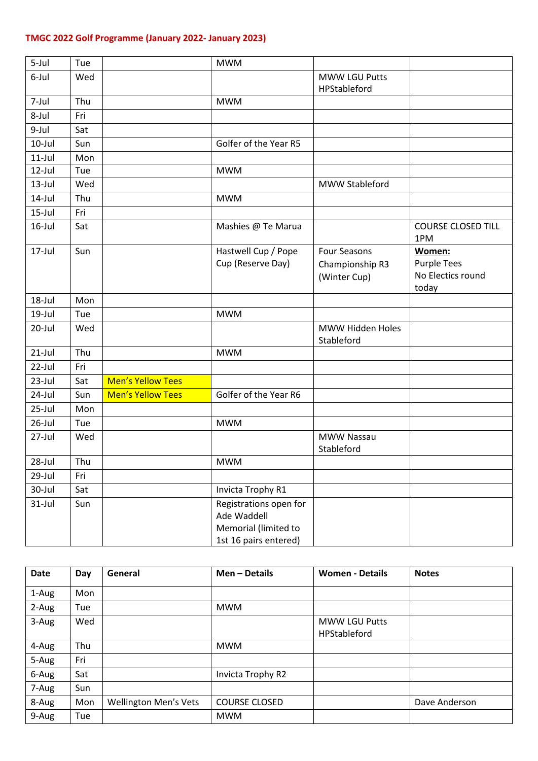| 5-Jul     | Tue |                          | <b>MWM</b>                                                                             |                                                        |                                                            |
|-----------|-----|--------------------------|----------------------------------------------------------------------------------------|--------------------------------------------------------|------------------------------------------------------------|
| 6-Jul     | Wed |                          |                                                                                        | <b>MWW LGU Putts</b><br>HPStableford                   |                                                            |
| 7-Jul     | Thu |                          | <b>MWM</b>                                                                             |                                                        |                                                            |
| 8-Jul     | Fri |                          |                                                                                        |                                                        |                                                            |
| 9-Jul     | Sat |                          |                                                                                        |                                                        |                                                            |
| $10$ -Jul | Sun |                          | Golfer of the Year R5                                                                  |                                                        |                                                            |
| $11$ -Jul | Mon |                          |                                                                                        |                                                        |                                                            |
| $12$ -Jul | Tue |                          | <b>MWM</b>                                                                             |                                                        |                                                            |
| $13$ -Jul | Wed |                          |                                                                                        | MWW Stableford                                         |                                                            |
| $14$ -Jul | Thu |                          | <b>MWM</b>                                                                             |                                                        |                                                            |
| $15$ -Jul | Fri |                          |                                                                                        |                                                        |                                                            |
| $16$ -Jul | Sat |                          | Mashies @ Te Marua                                                                     |                                                        | <b>COURSE CLOSED TILL</b><br>1PM                           |
| 17-Jul    | Sun |                          | Hastwell Cup / Pope<br>Cup (Reserve Day)                                               | <b>Four Seasons</b><br>Championship R3<br>(Winter Cup) | Women:<br><b>Purple Tees</b><br>No Electics round<br>today |
| 18-Jul    | Mon |                          |                                                                                        |                                                        |                                                            |
| 19-Jul    | Tue |                          | <b>MWM</b>                                                                             |                                                        |                                                            |
| 20-Jul    | Wed |                          |                                                                                        | MWW Hidden Holes<br>Stableford                         |                                                            |
| $21$ -Jul | Thu |                          | <b>MWM</b>                                                                             |                                                        |                                                            |
| 22-Jul    | Fri |                          |                                                                                        |                                                        |                                                            |
| 23-Jul    | Sat | <b>Men's Yellow Tees</b> |                                                                                        |                                                        |                                                            |
| 24-Jul    | Sun | <b>Men's Yellow Tees</b> | Golfer of the Year R6                                                                  |                                                        |                                                            |
| 25-Jul    | Mon |                          |                                                                                        |                                                        |                                                            |
| $26$ -Jul | Tue |                          | <b>MWM</b>                                                                             |                                                        |                                                            |
| 27-Jul    | Wed |                          |                                                                                        | MWW Nassau<br>Stableford                               |                                                            |
| 28-Jul    | Thu |                          | <b>MWM</b>                                                                             |                                                        |                                                            |
| 29-Jul    | Fri |                          |                                                                                        |                                                        |                                                            |
| 30-Jul    | Sat |                          | Invicta Trophy R1                                                                      |                                                        |                                                            |
| $31$ -Jul | Sun |                          | Registrations open for<br>Ade Waddell<br>Memorial (limited to<br>1st 16 pairs entered) |                                                        |                                                            |

| <b>Date</b> | Day | General               | Men - Details        | <b>Women - Details</b> | <b>Notes</b>  |
|-------------|-----|-----------------------|----------------------|------------------------|---------------|
| 1-Aug       | Mon |                       |                      |                        |               |
| 2-Aug       | Tue |                       | <b>MWM</b>           |                        |               |
| 3-Aug       | Wed |                       |                      | MWW LGU Putts          |               |
|             |     |                       |                      | <b>HPStableford</b>    |               |
| 4-Aug       | Thu |                       | <b>MWM</b>           |                        |               |
| 5-Aug       | Fri |                       |                      |                        |               |
| 6-Aug       | Sat |                       | Invicta Trophy R2    |                        |               |
| 7-Aug       | Sun |                       |                      |                        |               |
| 8-Aug       | Mon | Wellington Men's Vets | <b>COURSE CLOSED</b> |                        | Dave Anderson |
| 9-Aug       | Tue |                       | <b>MWM</b>           |                        |               |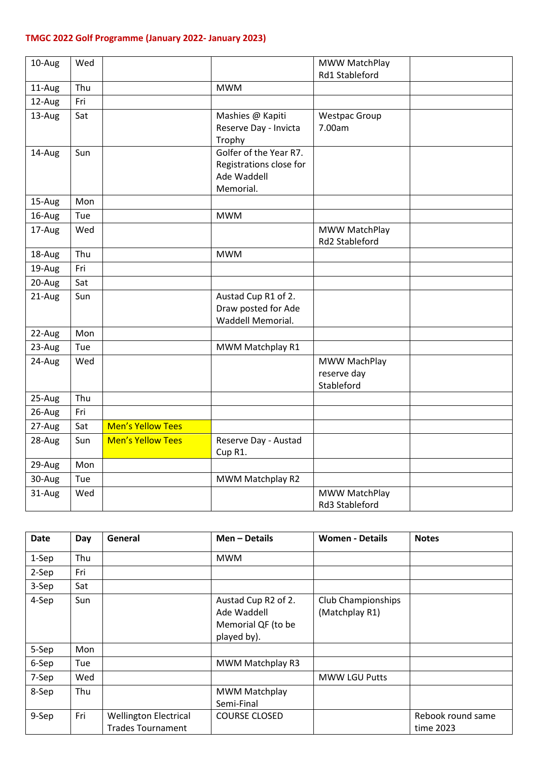| 10-Aug   | Wed |                          |                         | MWW MatchPlay        |  |
|----------|-----|--------------------------|-------------------------|----------------------|--|
|          |     |                          |                         | Rd1 Stableford       |  |
| 11-Aug   | Thu |                          | <b>MWM</b>              |                      |  |
| 12-Aug   | Fri |                          |                         |                      |  |
| $13-Aug$ | Sat |                          | Mashies @ Kapiti        | <b>Westpac Group</b> |  |
|          |     |                          | Reserve Day - Invicta   | 7.00am               |  |
|          |     |                          | Trophy                  |                      |  |
| 14-Aug   | Sun |                          | Golfer of the Year R7.  |                      |  |
|          |     |                          | Registrations close for |                      |  |
|          |     |                          | Ade Waddell             |                      |  |
|          |     |                          | Memorial.               |                      |  |
| 15-Aug   | Mon |                          |                         |                      |  |
| 16-Aug   | Tue |                          | <b>MWM</b>              |                      |  |
| 17-Aug   | Wed |                          |                         | MWW MatchPlay        |  |
|          |     |                          |                         | Rd2 Stableford       |  |
| 18-Aug   | Thu |                          | <b>MWM</b>              |                      |  |
| 19-Aug   | Fri |                          |                         |                      |  |
| 20-Aug   | Sat |                          |                         |                      |  |
| 21-Aug   | Sun |                          | Austad Cup R1 of 2.     |                      |  |
|          |     |                          | Draw posted for Ade     |                      |  |
|          |     |                          | Waddell Memorial.       |                      |  |
| 22-Aug   | Mon |                          |                         |                      |  |
| 23-Aug   | Tue |                          | MWM Matchplay R1        |                      |  |
| 24-Aug   | Wed |                          |                         | MWW MachPlay         |  |
|          |     |                          |                         | reserve day          |  |
|          |     |                          |                         | Stableford           |  |
| 25-Aug   | Thu |                          |                         |                      |  |
| 26-Aug   | Fri |                          |                         |                      |  |
| 27-Aug   | Sat | <b>Men's Yellow Tees</b> |                         |                      |  |
| 28-Aug   | Sun | <b>Men's Yellow Tees</b> | Reserve Day - Austad    |                      |  |
|          |     |                          | Cup R1.                 |                      |  |
| 29-Aug   | Mon |                          |                         |                      |  |
| 30-Aug   | Tue |                          | MWM Matchplay R2        |                      |  |
| 31-Aug   | Wed |                          |                         | MWW MatchPlay        |  |
|          |     |                          |                         | Rd3 Stableford       |  |

| <b>Date</b> | Day | General                                                  | Men - Details                                                           | <b>Women - Details</b>               | <b>Notes</b>                   |
|-------------|-----|----------------------------------------------------------|-------------------------------------------------------------------------|--------------------------------------|--------------------------------|
| 1-Sep       | Thu |                                                          | <b>MWM</b>                                                              |                                      |                                |
| 2-Sep       | Fri |                                                          |                                                                         |                                      |                                |
| 3-Sep       | Sat |                                                          |                                                                         |                                      |                                |
| 4-Sep       | Sun |                                                          | Austad Cup R2 of 2.<br>Ade Waddell<br>Memorial QF (to be<br>played by). | Club Championships<br>(Matchplay R1) |                                |
| 5-Sep       | Mon |                                                          |                                                                         |                                      |                                |
| 6-Sep       | Tue |                                                          | MWM Matchplay R3                                                        |                                      |                                |
| 7-Sep       | Wed |                                                          |                                                                         | <b>MWW LGU Putts</b>                 |                                |
| 8-Sep       | Thu |                                                          | <b>MWM Matchplay</b><br>Semi-Final                                      |                                      |                                |
| 9-Sep       | Fri | <b>Wellington Electrical</b><br><b>Trades Tournament</b> | <b>COURSE CLOSED</b>                                                    |                                      | Rebook round same<br>time 2023 |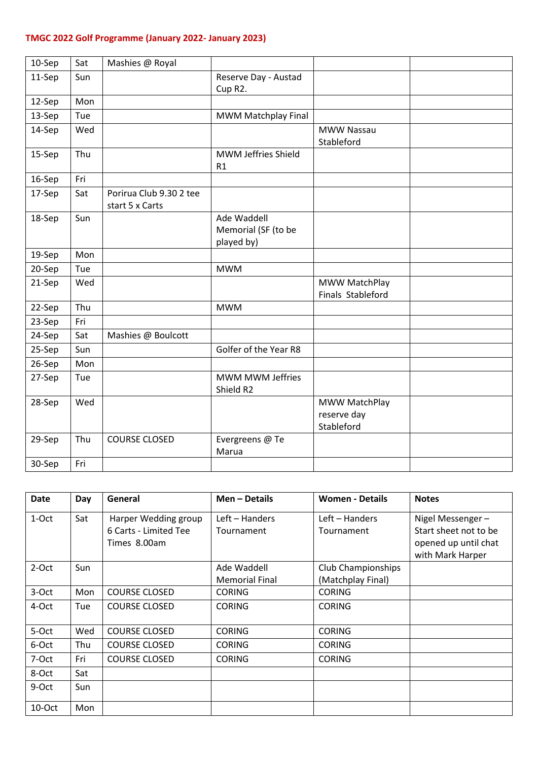| 10-Sep | Sat | Mashies @ Royal                            |                                                  |                                            |  |
|--------|-----|--------------------------------------------|--------------------------------------------------|--------------------------------------------|--|
| 11-Sep | Sun |                                            | Reserve Day - Austad<br>Cup R2.                  |                                            |  |
| 12-Sep | Mon |                                            |                                                  |                                            |  |
| 13-Sep | Tue |                                            | MWM Matchplay Final                              |                                            |  |
| 14-Sep | Wed |                                            |                                                  | MWW Nassau<br>Stableford                   |  |
| 15-Sep | Thu |                                            | MWM Jeffries Shield<br>R1                        |                                            |  |
| 16-Sep | Fri |                                            |                                                  |                                            |  |
| 17-Sep | Sat | Porirua Club 9.30 2 tee<br>start 5 x Carts |                                                  |                                            |  |
| 18-Sep | Sun |                                            | Ade Waddell<br>Memorial (SF (to be<br>played by) |                                            |  |
| 19-Sep | Mon |                                            |                                                  |                                            |  |
| 20-Sep | Tue |                                            | <b>MWM</b>                                       |                                            |  |
| 21-Sep | Wed |                                            |                                                  | MWW MatchPlay<br>Finals Stableford         |  |
| 22-Sep | Thu |                                            | <b>MWM</b>                                       |                                            |  |
| 23-Sep | Fri |                                            |                                                  |                                            |  |
| 24-Sep | Sat | Mashies @ Boulcott                         |                                                  |                                            |  |
| 25-Sep | Sun |                                            | Golfer of the Year R8                            |                                            |  |
| 26-Sep | Mon |                                            |                                                  |                                            |  |
| 27-Sep | Tue |                                            | MWM MWM Jeffries<br>Shield R2                    |                                            |  |
| 28-Sep | Wed |                                            |                                                  | MWW MatchPlay<br>reserve day<br>Stableford |  |
| 29-Sep | Thu | <b>COURSE CLOSED</b>                       | Evergreens @ Te<br>Marua                         |                                            |  |
| 30-Sep | Fri |                                            |                                                  |                                            |  |

| <b>Date</b> | Day | General               | Men - Details         | <b>Women - Details</b> | <b>Notes</b>          |
|-------------|-----|-----------------------|-----------------------|------------------------|-----------------------|
| 1-Oct       | Sat | Harper Wedding group  | Left - Handers        | Left - Handers         | Nigel Messenger-      |
|             |     | 6 Carts - Limited Tee | Tournament            | Tournament             | Start sheet not to be |
|             |     | Times 8.00am          |                       |                        | opened up until chat  |
|             |     |                       |                       |                        | with Mark Harper      |
| 2-Oct       | Sun |                       | Ade Waddell           | Club Championships     |                       |
|             |     |                       | <b>Memorial Final</b> | (Matchplay Final)      |                       |
| 3-Oct       | Mon | <b>COURSE CLOSED</b>  | <b>CORING</b>         | <b>CORING</b>          |                       |
| 4-Oct       | Tue | <b>COURSE CLOSED</b>  | <b>CORING</b>         | <b>CORING</b>          |                       |
| 5-Oct       | Wed | <b>COURSE CLOSED</b>  | <b>CORING</b>         | <b>CORING</b>          |                       |
| 6-Oct       | Thu | <b>COURSE CLOSED</b>  | <b>CORING</b>         | <b>CORING</b>          |                       |
| 7-Oct       | Fri | <b>COURSE CLOSED</b>  | <b>CORING</b>         | <b>CORING</b>          |                       |
| 8-Oct       | Sat |                       |                       |                        |                       |
| 9-Oct       | Sun |                       |                       |                        |                       |
| 10-Oct      | Mon |                       |                       |                        |                       |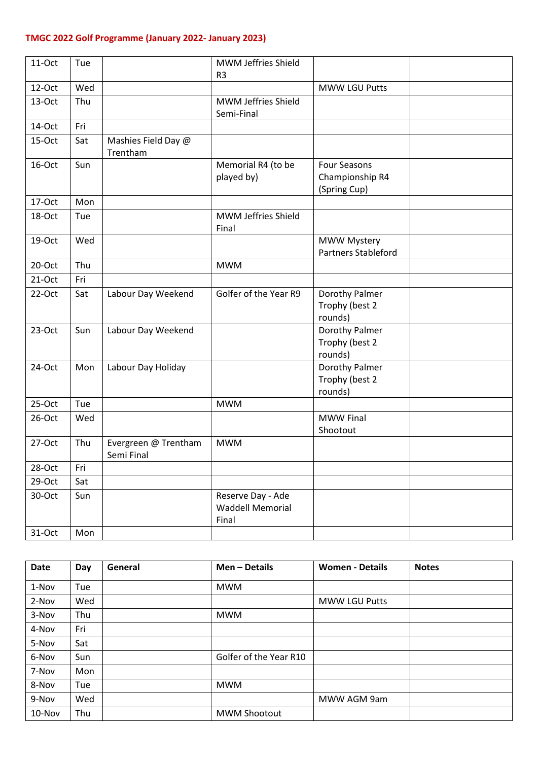| 11-Oct   | Tue |                                    | MWM Jeffries Shield<br>R <sub>3</sub>                 |                                                        |  |
|----------|-----|------------------------------------|-------------------------------------------------------|--------------------------------------------------------|--|
| 12-Oct   | Wed |                                    |                                                       | MWW LGU Putts                                          |  |
| 13-Oct   | Thu |                                    | MWM Jeffries Shield<br>Semi-Final                     |                                                        |  |
| 14-Oct   | Fri |                                    |                                                       |                                                        |  |
| 15-Oct   | Sat | Mashies Field Day @<br>Trentham    |                                                       |                                                        |  |
| 16-Oct   | Sun |                                    | Memorial R4 (to be<br>played by)                      | <b>Four Seasons</b><br>Championship R4<br>(Spring Cup) |  |
| 17-Oct   | Mon |                                    |                                                       |                                                        |  |
| 18-Oct   | Tue |                                    | MWM Jeffries Shield<br>Final                          |                                                        |  |
| 19-Oct   | Wed |                                    |                                                       | <b>MWW Mystery</b><br><b>Partners Stableford</b>       |  |
| 20-Oct   | Thu |                                    | <b>MWM</b>                                            |                                                        |  |
| 21-Oct   | Fri |                                    |                                                       |                                                        |  |
| 22-Oct   | Sat | Labour Day Weekend                 | Golfer of the Year R9                                 | Dorothy Palmer<br>Trophy (best 2<br>rounds)            |  |
| 23-Oct   | Sun | Labour Day Weekend                 |                                                       | Dorothy Palmer<br>Trophy (best 2<br>rounds)            |  |
| 24-Oct   | Mon | Labour Day Holiday                 |                                                       | Dorothy Palmer<br>Trophy (best 2<br>rounds)            |  |
| $25-Oct$ | Tue |                                    | <b>MWM</b>                                            |                                                        |  |
| 26-Oct   | Wed |                                    |                                                       | <b>MWW Final</b><br>Shootout                           |  |
| 27-Oct   | Thu | Evergreen @ Trentham<br>Semi Final | <b>MWM</b>                                            |                                                        |  |
| 28-Oct   | Fri |                                    |                                                       |                                                        |  |
| 29-Oct   | Sat |                                    |                                                       |                                                        |  |
| 30-Oct   | Sun |                                    | Reserve Day - Ade<br><b>Waddell Memorial</b><br>Final |                                                        |  |
| 31-Oct   | Mon |                                    |                                                       |                                                        |  |

| <b>Date</b> | Day | General | Men - Details          | <b>Women - Details</b> | <b>Notes</b> |
|-------------|-----|---------|------------------------|------------------------|--------------|
| 1-Nov       | Tue |         | <b>MWM</b>             |                        |              |
| 2-Nov       | Wed |         |                        | <b>MWW LGU Putts</b>   |              |
| 3-Nov       | Thu |         | <b>MWM</b>             |                        |              |
| 4-Nov       | Fri |         |                        |                        |              |
| 5-Nov       | Sat |         |                        |                        |              |
| 6-Nov       | Sun |         | Golfer of the Year R10 |                        |              |
| 7-Nov       | Mon |         |                        |                        |              |
| 8-Nov       | Tue |         | <b>MWM</b>             |                        |              |
| 9-Nov       | Wed |         |                        | MWW AGM 9am            |              |
| 10-Nov      | Thu |         | <b>MWM Shootout</b>    |                        |              |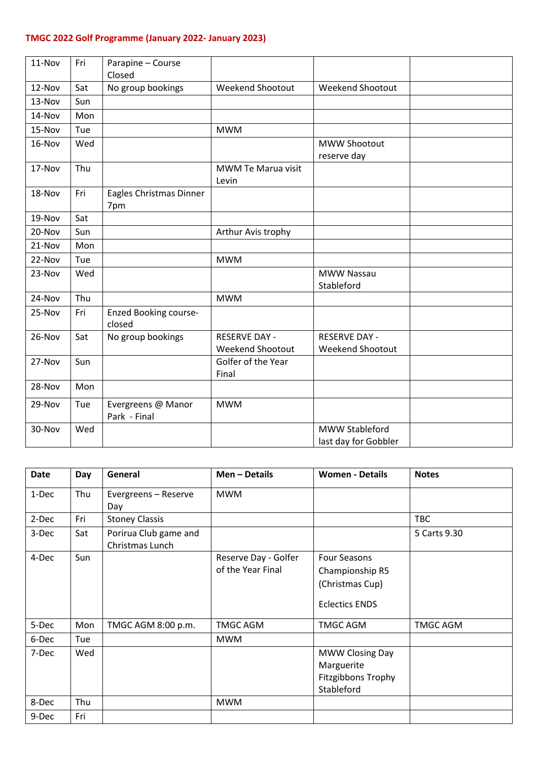| 11-Nov | Fri | Parapine - Course<br>Closed            |                                                 |                                                 |  |
|--------|-----|----------------------------------------|-------------------------------------------------|-------------------------------------------------|--|
| 12-Nov | Sat | No group bookings                      | Weekend Shootout                                | Weekend Shootout                                |  |
| 13-Nov | Sun |                                        |                                                 |                                                 |  |
| 14-Nov | Mon |                                        |                                                 |                                                 |  |
| 15-Nov | Tue |                                        | <b>MWM</b>                                      |                                                 |  |
| 16-Nov | Wed |                                        |                                                 | <b>MWW Shootout</b><br>reserve day              |  |
| 17-Nov | Thu |                                        | MWM Te Marua visit<br>Levin                     |                                                 |  |
| 18-Nov | Fri | Eagles Christmas Dinner<br>7pm         |                                                 |                                                 |  |
| 19-Nov | Sat |                                        |                                                 |                                                 |  |
| 20-Nov | Sun |                                        | Arthur Avis trophy                              |                                                 |  |
| 21-Nov | Mon |                                        |                                                 |                                                 |  |
| 22-Nov | Tue |                                        | <b>MWM</b>                                      |                                                 |  |
| 23-Nov | Wed |                                        |                                                 | <b>MWW Nassau</b><br>Stableford                 |  |
| 24-Nov | Thu |                                        | <b>MWM</b>                                      |                                                 |  |
| 25-Nov | Fri | <b>Enzed Booking course-</b><br>closed |                                                 |                                                 |  |
| 26-Nov | Sat | No group bookings                      | <b>RESERVE DAY -</b><br><b>Weekend Shootout</b> | <b>RESERVE DAY -</b><br><b>Weekend Shootout</b> |  |
| 27-Nov | Sun |                                        | Golfer of the Year<br>Final                     |                                                 |  |
| 28-Nov | Mon |                                        |                                                 |                                                 |  |
| 29-Nov | Tue | Evergreens @ Manor<br>Park - Final     | <b>MWM</b>                                      |                                                 |  |
| 30-Nov | Wed |                                        |                                                 | MWW Stableford                                  |  |
|        |     |                                        |                                                 | last day for Gobbler                            |  |

| <b>Date</b> | Day | General                                  | Men - Details                             | <b>Women - Details</b>                                                             | <b>Notes</b>    |
|-------------|-----|------------------------------------------|-------------------------------------------|------------------------------------------------------------------------------------|-----------------|
| 1-Dec       | Thu | Evergreens - Reserve<br>Day              | <b>MWM</b>                                |                                                                                    |                 |
| 2-Dec       | Fri | <b>Stoney Classis</b>                    |                                           |                                                                                    | <b>TBC</b>      |
| 3-Dec       | Sat | Porirua Club game and<br>Christmas Lunch |                                           |                                                                                    | 5 Carts 9.30    |
| 4-Dec       | Sun |                                          | Reserve Day - Golfer<br>of the Year Final | <b>Four Seasons</b><br>Championship R5<br>(Christmas Cup)<br><b>Eclectics ENDS</b> |                 |
| 5-Dec       | Mon | TMGC AGM 8:00 p.m.                       | <b>TMGC AGM</b>                           | <b>TMGC AGM</b>                                                                    | <b>TMGC AGM</b> |
| 6-Dec       | Tue |                                          | <b>MWM</b>                                |                                                                                    |                 |
| 7-Dec       | Wed |                                          |                                           | MWW Closing Day<br>Marguerite<br>Fitzgibbons Trophy<br>Stableford                  |                 |
| 8-Dec       | Thu |                                          | <b>MWM</b>                                |                                                                                    |                 |
| 9-Dec       | Fri |                                          |                                           |                                                                                    |                 |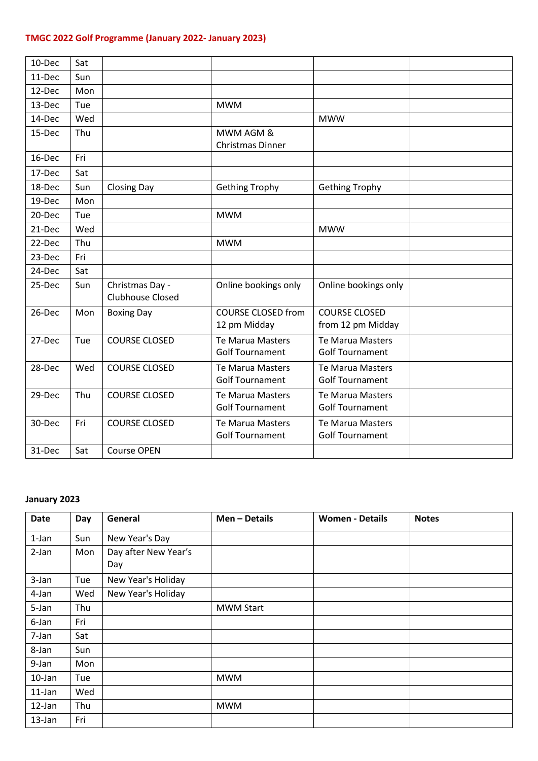| 10-Dec | Sat |                                     |                                                   |                                                   |  |
|--------|-----|-------------------------------------|---------------------------------------------------|---------------------------------------------------|--|
| 11-Dec | Sun |                                     |                                                   |                                                   |  |
| 12-Dec | Mon |                                     |                                                   |                                                   |  |
| 13-Dec | Tue |                                     | <b>MWM</b>                                        |                                                   |  |
| 14-Dec | Wed |                                     |                                                   | <b>MWW</b>                                        |  |
| 15-Dec | Thu |                                     | MWM AGM &<br><b>Christmas Dinner</b>              |                                                   |  |
| 16-Dec | Fri |                                     |                                                   |                                                   |  |
| 17-Dec | Sat |                                     |                                                   |                                                   |  |
| 18-Dec | Sun | <b>Closing Day</b>                  | <b>Gething Trophy</b>                             | <b>Gething Trophy</b>                             |  |
| 19-Dec | Mon |                                     |                                                   |                                                   |  |
| 20-Dec | Tue |                                     | <b>MWM</b>                                        |                                                   |  |
| 21-Dec | Wed |                                     |                                                   | <b>MWW</b>                                        |  |
| 22-Dec | Thu |                                     | <b>MWM</b>                                        |                                                   |  |
| 23-Dec | Fri |                                     |                                                   |                                                   |  |
| 24-Dec | Sat |                                     |                                                   |                                                   |  |
| 25-Dec | Sun | Christmas Day -<br>Clubhouse Closed | Online bookings only                              | Online bookings only                              |  |
| 26-Dec | Mon | <b>Boxing Day</b>                   | <b>COURSE CLOSED from</b><br>12 pm Midday         | <b>COURSE CLOSED</b><br>from 12 pm Midday         |  |
| 27-Dec | Tue | <b>COURSE CLOSED</b>                | <b>Te Marua Masters</b><br><b>Golf Tournament</b> | <b>Te Marua Masters</b><br><b>Golf Tournament</b> |  |
| 28-Dec | Wed | <b>COURSE CLOSED</b>                | <b>Te Marua Masters</b><br><b>Golf Tournament</b> | <b>Te Marua Masters</b><br><b>Golf Tournament</b> |  |
| 29-Dec | Thu | <b>COURSE CLOSED</b>                | Te Marua Masters<br><b>Golf Tournament</b>        | Te Marua Masters<br><b>Golf Tournament</b>        |  |
| 30-Dec | Fri | <b>COURSE CLOSED</b>                | <b>Te Marua Masters</b><br><b>Golf Tournament</b> | <b>Te Marua Masters</b><br><b>Golf Tournament</b> |  |
| 31-Dec | Sat | <b>Course OPEN</b>                  |                                                   |                                                   |  |

### **January 2023**

| <b>Date</b> | Day | General                     | Men - Details    | <b>Women - Details</b> | <b>Notes</b> |
|-------------|-----|-----------------------------|------------------|------------------------|--------------|
| 1-Jan       | Sun | New Year's Day              |                  |                        |              |
| 2-Jan       | Mon | Day after New Year's<br>Day |                  |                        |              |
| 3-Jan       | Tue | New Year's Holiday          |                  |                        |              |
| 4-Jan       | Wed | New Year's Holiday          |                  |                        |              |
| 5-Jan       | Thu |                             | <b>MWM Start</b> |                        |              |
| 6-Jan       | Fri |                             |                  |                        |              |
| 7-Jan       | Sat |                             |                  |                        |              |
| 8-Jan       | Sun |                             |                  |                        |              |
| 9-Jan       | Mon |                             |                  |                        |              |
| $10$ -Jan   | Tue |                             | <b>MWM</b>       |                        |              |
| $11$ -Jan   | Wed |                             |                  |                        |              |
| 12-Jan      | Thu |                             | <b>MWM</b>       |                        |              |
| 13-Jan      | Fri |                             |                  |                        |              |